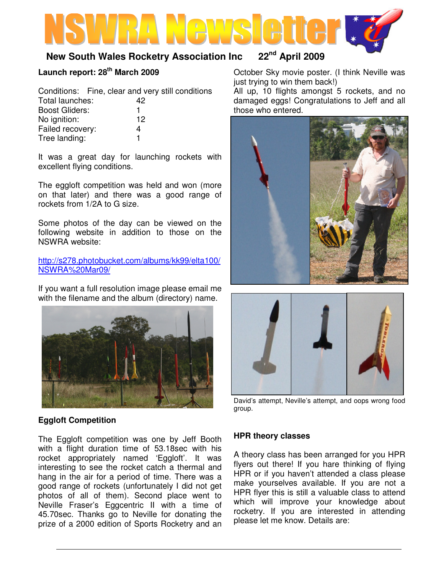# **New South Wales Rocketry Association Inc 22nd April 2009**

## **Launch report: 28th March 2009**

Tree landing: 1

|                       |    | Conditions: Fine, clear and very still conditions |
|-----------------------|----|---------------------------------------------------|
| Total launches:       | 42 |                                                   |
| <b>Boost Gliders:</b> |    |                                                   |
| No ignition:          | 12 |                                                   |
| Failed recovery:      |    |                                                   |

It was a great day for launching rockets with excellent flying conditions.

The eggloft competition was held and won (more on that later) and there was a good range of rockets from 1/2A to G size.

Some photos of the day can be viewed on the following website in addition to those on the NSWRA website:

http://s278.photobucket.com/albums/kk99/elta100/ NSWRA%20Mar09/

If you want a full resolution image please email me with the filename and the album (directory) name.



## **Eggloft Competition**

The Eggloft competition was one by Jeff Booth with a flight duration time of 53.18sec with his rocket appropriately named 'Eggloft'. It was interesting to see the rocket catch a thermal and hang in the air for a period of time. There was a good range of rockets (unfortunately I did not get photos of all of them). Second place went to Neville Fraser's Eggcentric II with a time of 45.70sec. Thanks go to Neville for donating the prize of a 2000 edition of Sports Rocketry and an

October Sky movie poster. (I think Neville was just trying to win them back!)

All up, 10 flights amongst 5 rockets, and no damaged eggs! Congratulations to Jeff and all those who entered.





David's attempt, Neville's attempt, and oops wrong food group.

### **HPR theory classes**

A theory class has been arranged for you HPR flyers out there! If you hare thinking of flying HPR or if you haven't attended a class please make yourselves available. If you are not a HPR flyer this is still a valuable class to attend which will improve your knowledge about rocketry. If you are interested in attending please let me know. Details are: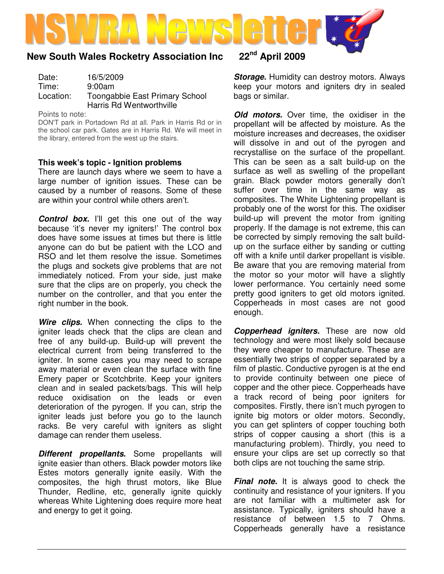

# **New South Wales Rocketry Association Inc 22nd April 2009**

Date: 16/5/2009 Time: 9:00am Location: Toongabbie East Primary School Harris Rd Wentworthville

Points to note:

DON'T park in Portadown Rd at all. Park in Harris Rd or in the school car park. Gates are in Harris Rd. We will meet in the library, entered from the west up the stairs.

#### **This week's topic - Ignition problems**

There are launch days where we seem to have a large number of ignition issues. These can be caused by a number of reasons. Some of these are within your control while others aren't.

**Control box.** I'll get this one out of the way because 'it's never my igniters!' The control box does have some issues at times but there is little anyone can do but be patient with the LCO and RSO and let them resolve the issue. Sometimes the plugs and sockets give problems that are not immediately noticed. From your side, just make sure that the clips are on properly, you check the number on the controller, and that you enter the right number in the book.

Wire clips. When connecting the clips to the igniter leads check that the clips are clean and free of any build-up. Build-up will prevent the electrical current from being transferred to the igniter. In some cases you may need to scrape away material or even clean the surface with fine Emery paper or Scotchbrite. Keep your igniters clean and in sealed packets/bags. This will help reduce oxidisation on the leads or even deterioration of the pyrogen. If you can, strip the igniter leads just before you go to the launch racks. Be very careful with igniters as slight damage can render them useless.

**Different propellants.** Some propellants will ignite easier than others. Black powder motors like Estes motors generally ignite easily. With the composites, the high thrust motors, like Blue Thunder, Redline, etc, generally ignite quickly whereas White Lightening does require more heat and energy to get it going.

**Storage.** Humidity can destroy motors. Always keep your motors and igniters dry in sealed bags or similar.

**Old motors.** Over time, the oxidiser in the propellant will be affected by moisture. As the moisture increases and decreases, the oxidiser will dissolve in and out of the pyrogen and recrystallise on the surface of the propellant. This can be seen as a salt build-up on the surface as well as swelling of the propellant grain. Black powder motors generally don't suffer over time in the same way as composites. The White Lightening propellant is probably one of the worst for this. The oxidiser build-up will prevent the motor from igniting properly. If the damage is not extreme, this can be corrected by simply removing the salt buildup on the surface either by sanding or cutting off with a knife until darker propellant is visible. Be aware that you are removing material from the motor so your motor will have a slightly lower performance. You certainly need some pretty good igniters to get old motors ignited. Copperheads in most cases are not good enough.

**Copperhead igniters.** These are now old technology and were most likely sold because they were cheaper to manufacture. These are essentially two strips of copper separated by a film of plastic. Conductive pyrogen is at the end to provide continuity between one piece of copper and the other piece. Copperheads have a track record of being poor igniters for composites. Firstly, there isn't much pyrogen to ignite big motors or older motors. Secondly, you can get splinters of copper touching both strips of copper causing a short (this is a manufacturing problem). Thirdly, you need to ensure your clips are set up correctly so that both clips are not touching the same strip.

**Final note.** It is always good to check the continuity and resistance of your igniters. If you are not familiar with a multimeter ask for assistance. Typically, igniters should have a resistance of between 1.5 to 7 Ohms. Copperheads generally have a resistance